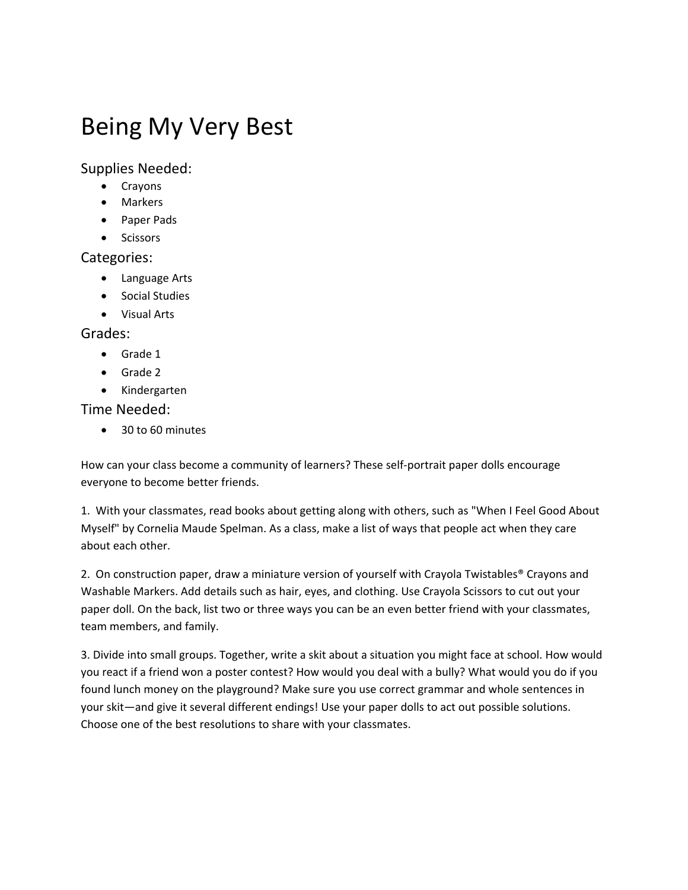# Being My Very Best

Supplies Needed:

- Crayons
- Markers
- Paper Pads
- Scissors

### Categories:

- Language Arts
- **•** Social Studies
- Visual Arts

#### Grades:

- Grade 1
- Grade 2
- Kindergarten

### Time Needed:

● 30 to 60 minutes

How can your class become a community of learners? These self‐portrait paper dolls encourage everyone to become better friends.

1. With your classmates, read books about getting along with others, such as "When I Feel Good About Myself" by Cornelia Maude Spelman. As a class, make a list of ways that people act when they care about each other.

2. On construction paper, draw a miniature version of yourself with Crayola Twistables® Crayons and Washable Markers. Add details such as hair, eyes, and clothing. Use Crayola Scissors to cut out your paper doll. On the back, list two or three ways you can be an even better friend with your classmates, team members, and family.

3. Divide into small groups. Together, write a skit about a situation you might face at school. How would you react if a friend won a poster contest? How would you deal with a bully? What would you do if you found lunch money on the playground? Make sure you use correct grammar and whole sentences in your skit—and give it several different endings! Use your paper dolls to act out possible solutions. Choose one of the best resolutions to share with your classmates.